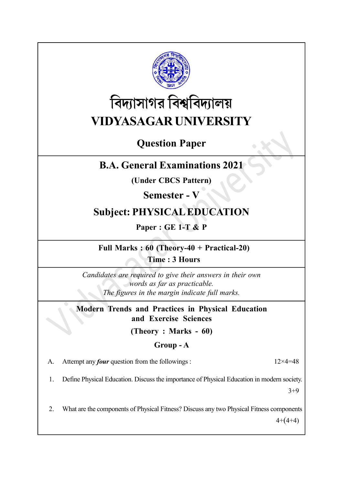

# বিদ্যাসাগর বিশ্ববিদ্যালয় VIDYASAGAR UNIVERSITY

# Question Paper

# B.A. General Examinations 2021

(Under CBCS Pattern)

Semester - V

# Subject: PHYSICAL EDUCATION

Paper : GE 1-T & P

Full Marks : 60 (Theory-40 + Practical-20) Time : 3 Hours

Candidates are required to give their answers in their own words as far as practicable. The figures in the margin indicate full marks.

Modern Trends and Practices in Physical Education and Exercise Sciences

(Theory : Marks - 60)

### Group - A

A. Attempt any *four* question from the followings :  $12 \times 4 = 48$ 

1. Define Physical Education. Discuss the importance of Physical Education in modern society.

 $3+9$ 

2. What are the components of Physical Fitness? Discuss any two Physical Fitness components  $4+(4+4)$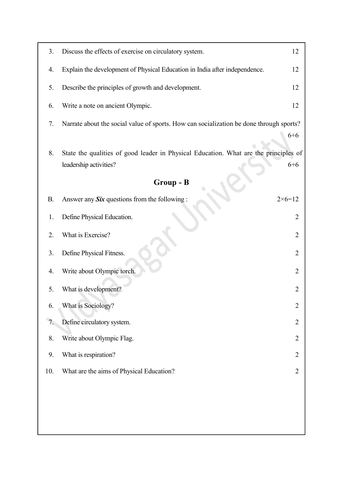| 3.        | Discuss the effects of exercise on circulatory system.                                  | 12                |
|-----------|-----------------------------------------------------------------------------------------|-------------------|
| 4.        | Explain the development of Physical Education in India after independence.              | 12                |
| 5.        | Describe the principles of growth and development.                                      | 12                |
| 6.        | Write a note on ancient Olympic.                                                        | 12                |
| 7.        | Narrate about the social value of sports. How can socialization be done through sports? |                   |
|           |                                                                                         | $6 + 6$           |
| 8.        | State the qualities of good leader in Physical Education. What are the principles of    |                   |
|           | leadership activities?                                                                  | $6 + 6$           |
|           | Group - B                                                                               |                   |
| <b>B.</b> | Answer any Six questions from the following:                                            | $2 \times 6 = 12$ |
| 1.        | Define Physical Education.                                                              | $\overline{2}$    |
| 2.        | What is Exercise?                                                                       | 2                 |
| 3.        | Define Physical Fitness.                                                                | $\overline{2}$    |
| 4.        | Write about Olympic torch.                                                              | $\overline{2}$    |
| 5.        | What is development?                                                                    | $\overline{2}$    |
| 6.        | What is Sociology?                                                                      | $\overline{2}$    |
| 7.        | Define circulatory system.                                                              | $\overline{2}$    |
| 8.        | Write about Olympic Flag.                                                               | 2                 |
| 9.        | What is respiration?                                                                    | 2                 |
| 10.       | What are the aims of Physical Education?                                                | $\overline{2}$    |
|           |                                                                                         |                   |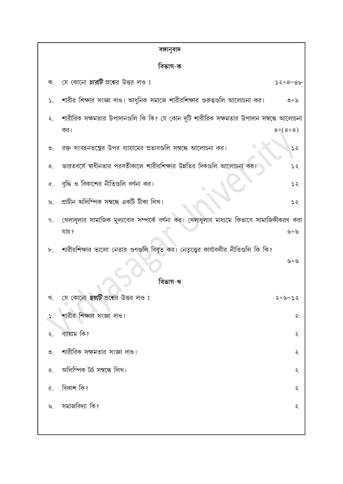| বঙ্গানুবাদ      |                                                                                                  |                |
|-----------------|--------------------------------------------------------------------------------------------------|----------------|
|                 | বিভাগ-ক                                                                                          |                |
| ক.              | যে কোনো <i>চারটি</i> প্রশ্নের উত্তর দাও ঃ                                                        | $52\times8=86$ |
| ۵.              | শারীর শিক্ষার সংজ্ঞা দাও। আধুনিক সমাজে শারীরশিক্ষার গুরুত্বগুলি আলোচনা কর।                       | ৩ $+$ ৯        |
| ২.              | শারীরিক সক্ষমতার উপাদানগুলি কি কি? যে কোন দুটি শারীরিক সক্ষমতার উপাদান সম্বন্ধে আলোচনা<br>কর।    | $8+(8+8)$      |
| $\mathcal{O}$ . | রক্ত সংবহনতন্ত্রের উপর ব্যায়ামের প্রভাবগুলি সম্বন্ধে আলোচনা কর।                                 | ১২             |
| 8.              | ভারতবর্ষে স্বাধীনতার পরবর্তীকালে শারীরশিক্ষার উন্নতির দিকগুলি আলোচনা কর।                         | ১২             |
| ¢.              | বৃদ্ধি ও বিকাশের নীতিগুলি বর্ণনা কর।                                                             | ১২             |
| ৬.              | প্ৰাচীন অলিম্পিক সম্বন্ধে একটি টীকা লিখ।                                                         | 55             |
| ٩.              | খেলাধূলার সামাজিক মূল্যবোধ সম্পর্কে বর্ণনা কর। খেলাধূলার মাধ্যমে কিভাবে সামাজিকীকরণ করা<br>যায়? | ৬+৬            |
| ৮.              | শারীরশিক্ষার ভালো নেতার গুণগুলি বিবৃত কর। নেতৃত্ব্বের কার্যাবলীর নীতিগুলি কি কি?                 |                |
|                 |                                                                                                  | ৬+৬            |
|                 | বিভাগ-খ                                                                                          |                |
| খ.              | যে কোনো <i>ছয়টি</i> প্রশ্নের উত্তর দাও ঃ                                                        | ২×�=১২         |
|                 | শারীর শিক্ষার সংজ্ঞা দাও।                                                                        | ২              |
| ২.              | ব্যায়াম কি?                                                                                     | ২              |
| $\mathcal{O}$ . | শারীরিক সক্ষমতার সংজ্ঞা দাও।                                                                     | ২              |
| 8.              | অলিম্পিক টৰ্চ সম্বন্ধে লিখ।                                                                      | ২              |
| ৫.              | বিকাশ কি?                                                                                        | ২              |
| ৬.              | সমাজবিদ্যা কি?                                                                                   | ২              |
|                 |                                                                                                  |                |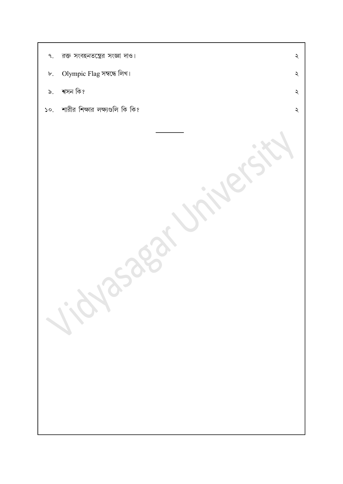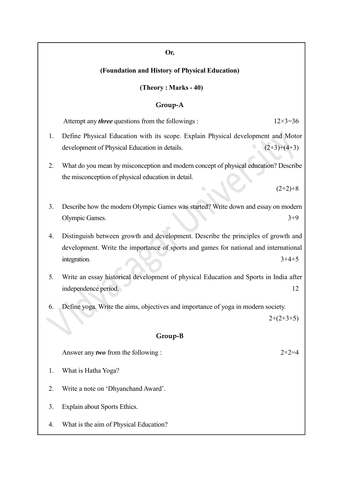#### Or,

#### (Foundation and History of Physical Education)

#### (Theory : Marks - 40)

#### Group-A

Attempt any *three* questions from the followings :  $12 \times 3 = 36$ 

- 1. Define Physical Education with its scope. Explain Physical development and Motor development of Physical Education in details.  $(2+3)+(4+3)$
- 2. What do you mean by misconception and modern concept of physical education? Describe the misconception of physical education in detail.

 $(2+2)+8$ 

- 3. Describe how the modern Olympic Games was started? Write down and essay on modern Olympic Games. 3+9
- 4. Distinguish between growth and development. Describe the principles of growth and development. Write the importance of sports and games for national and international integration. 3+4+5
- 5. Write an essay historical development of physical Education and Sports in India after independence period. 12
- 6. Define yoga. Write the aims, objectives and importance of yoga in modern society.

 $2+(2+3+5)$ 

#### Group-B

Answer any *two* from the following :  $2 \times 2 = 4$ 

- 1. What is Hatha Yoga?
- 2. Write a note on 'Dhyanchand Award'.
- 3. Explain about Sports Ethics.
- 4. What is the aim of Physical Education?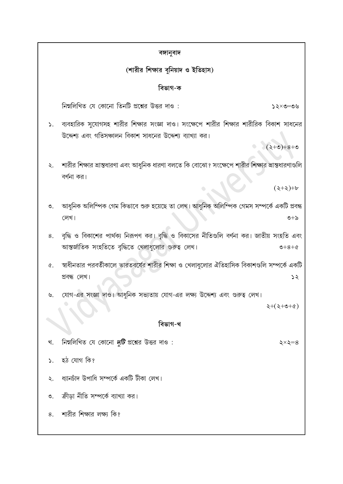#### বঙ্গানবাদ

#### (শারীর শিক্ষার বুনিয়াদ ও ইতিহাস)

#### বিভাগ-ক

নিম্নলিখিত যে কোনো তিনটি প্রশ্নের উত্তর দাও:  $90 = 0 \times 52$ 

১. ব্যবহারিক সুযোগসহ শারীর শিক্ষার সংজ্ঞা দাও। সংক্ষেপে শারীর শিক্ষার শারীরিক বিকাশ সাধনের উদ্দেশ্য এবং গতিসঞ্চালন বিকাশ সাধনের উদ্দেশ্য ব্যাখ্যা কর।

 $0+8+0$ 

শারীর শিক্ষার ভ্রান্তধারণা এবং আধুনিক ধারণা বলতে কি বোঝো ? সংক্ষেপে শারীর শিক্ষার ভ্রান্তধারণাগুলি ২. বর্ণনা কর।

 $(2+2)+b$ 

- আধুনিক অলিম্পিক গেম কিভাবে শুরু হয়েছে তা লেখ। আধুনিক অলিম্পিক গেমস সম্পর্কে একটি প্রবন্ধ  $\mathcal{O}$ . লেখ।  $\circ + \circ$
- বৃদ্ধি ও বিকাশের পার্থক্য নিরূপণ কর। বৃদ্ধি ও বিকাসের নীতিগুলি বর্ণনা কর। জাতীয় সংহতি এবং 8. আন্তর্জাতিক সংহতিতে বৃদ্ধিতে খেলাধুলোর গুরুত্ব লেখ।  $0+8+6$
- স্বাধীনতার পরবর্তীকালে ভারতবর্ষের শারীর শিক্ষা ও খেলাধুলোর ঐতিহাসিক বিকাশগুলি সম্পর্কে একটি Q. প্ৰবন্ধ লেখ।  $52$
- যোগ-এর সংজ্ঞা দাও। আধুনিক সভ্যতায় যোগ-এর লক্ষ্য উদ্দেশ্য এবং গুরুত্ব লেখ। ৬.  $(3+0+5) + 5$

#### বিভাগ-খ

নিম্নলিখিত যে কোনো *দটি* প্রশ্নের উত্তর দাও : খ.

- হঠ যোগ কি?  $\mathcal{L}$ .
- ধ্যানচাঁদ উপাধি সম্পর্কে একটি টীকা লেখ। ২.
- ক্রীডা নীতি সম্পর্কে ব্যাখ্যা কর।  $\mathcal{O}$ .
- শারীর শিক্ষার লক্ষ্য কি? 8.

 $\xi \times \xi = 8$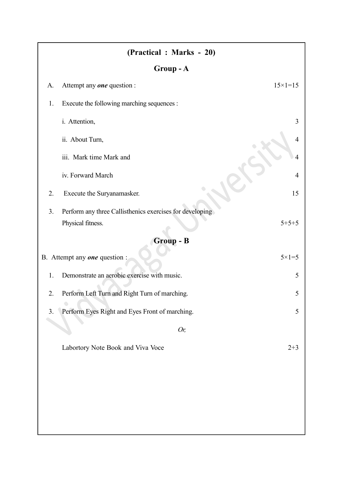| (Practical : Marks - 20)                          |                                                          |                    |  |
|---------------------------------------------------|----------------------------------------------------------|--------------------|--|
| $Group - A$                                       |                                                          |                    |  |
| A.                                                | Attempt any one question :                               | $15 \times 1 = 15$ |  |
| 1.                                                | Execute the following marching sequences :               |                    |  |
|                                                   | i. Attention,                                            | 3                  |  |
|                                                   | ii. About Turn,                                          |                    |  |
|                                                   | iii. Mark time Mark and                                  |                    |  |
|                                                   | iv. Forward March                                        |                    |  |
| 2.                                                | Execute the Suryanamasker.                               | 15                 |  |
| 3.                                                | Perform any three Callisthenics exercises for developing |                    |  |
|                                                   | Physical fitness.                                        | $5 + 5 + 5$        |  |
|                                                   | Group - B                                                |                    |  |
| B. Attempt any one question :<br>$5 \times 1 = 5$ |                                                          |                    |  |
| 1.                                                | Demonstrate an aerobic exercise with music.              | 5                  |  |
| 2.                                                | Perform Left Turn and Right Turn of marching.            | 5                  |  |
| 3.                                                | Perform Eyes Right and Eyes Front of marching.           | 5                  |  |
|                                                   | Or,                                                      |                    |  |
|                                                   | Labortory Note Book and Viva Voce                        | $2 + 3$            |  |
|                                                   |                                                          |                    |  |
|                                                   |                                                          |                    |  |
|                                                   |                                                          |                    |  |
|                                                   |                                                          |                    |  |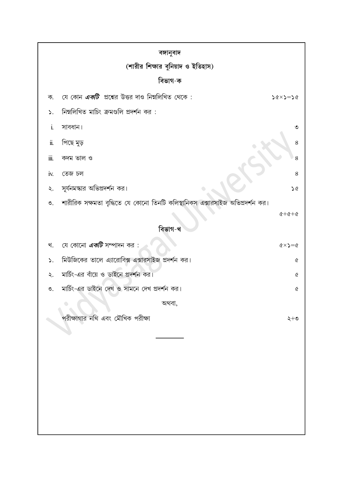| বঙ্গানুবাদ          |                                                         |                                                                               |                                       |
|---------------------|---------------------------------------------------------|-------------------------------------------------------------------------------|---------------------------------------|
|                     | (শারীর শিক্ষার বুনিয়াদ ও ইতিহাস)                       |                                                                               |                                       |
|                     |                                                         | বিভাগ-ক                                                                       |                                       |
| ক.                  | যে কোন <i>একটি</i> প্রশ্নের উত্তর দাও নিম্নলিখিত থেকে : |                                                                               | $56 \times 5 = 26$                    |
| $\mathsf{S}$ .      | নিম্নলিখিত মাচিং ক্রমগুলি প্রদর্শন কর:                  |                                                                               |                                       |
| i.                  | সাবধান।                                                 |                                                                               | ৩                                     |
| $\ddot{\textbf{1}}$ | পিছে মুড়                                               |                                                                               | 8                                     |
| iii.                | কদম ভাল ও                                               |                                                                               | 8                                     |
| iv.                 | তেজ চল                                                  |                                                                               | 8                                     |
| ২.                  | সূর্যনমস্কার অভিপ্রদর্শন কর।                            |                                                                               | SQ.                                   |
| $\mathfrak{O}.$     |                                                         | শারীরিক সক্ষমতা বৃদ্ধিতে যে কোনো তিনটি কলিস্থানিকস এক্সারসাইজ অভিপ্রদর্শন কর। |                                       |
|                     |                                                         |                                                                               |                                       |
|                     |                                                         | বিভাগ-খ                                                                       |                                       |
| খ.                  | যে কোনো <i>এ<b>কটি</b> সম্পাদন কর</i> :                 |                                                                               | $\Diamond \times \Diamond = \Diamond$ |
| $\mathsf{S}$ .      | মিউজিকের তালে এ্যারোবিক্স এক্সারসাইজ প্রদর্শন কর।       |                                                                               | Q                                     |
| ২.                  | মার্চিং-এর বাঁয়ে ও ডাইনে প্রদর্শন কর।                  |                                                                               | $\pmb{\mathcal{C}}$                   |
| $\mathcal{O}$ .     | মার্চিং-এর ডাইনে দেখ ও সামনে দেখ প্রদর্শন কর।           |                                                                               | $\delta$                              |
|                     |                                                         | অথবা,                                                                         |                                       |
|                     | পরীক্ষাগার নথি এবং মৌথিক পরীক্ষা                        |                                                                               | ২+৩                                   |
|                     |                                                         |                                                                               |                                       |
|                     |                                                         |                                                                               |                                       |
|                     |                                                         |                                                                               |                                       |
|                     |                                                         |                                                                               |                                       |
|                     |                                                         |                                                                               |                                       |
|                     |                                                         |                                                                               |                                       |
|                     |                                                         |                                                                               |                                       |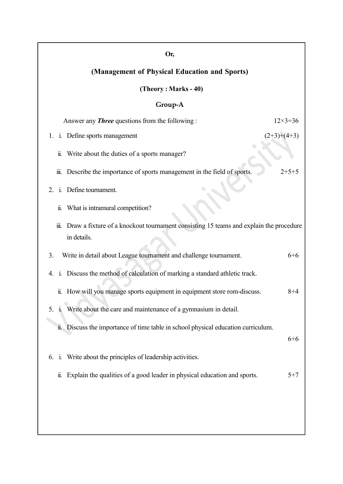### Or,

## (Management of Physical Education and Sports)

### (Theory : Marks - 40)

### Group-A

|    |                        | Answer any <i>Three</i> questions from the following :                                                    | $12\times3=36$ |
|----|------------------------|-----------------------------------------------------------------------------------------------------------|----------------|
|    |                        | 1. i. Define sports management                                                                            | $(2+3)+(4+3)$  |
|    | ii.                    | Write about the duties of a sports manager?                                                               |                |
|    | $\dddot{\mathbf{m}}$ . | Describe the importance of sports management in the field of sports.                                      | $2+5+5$        |
| 2. |                        | i. Define tournament.                                                                                     |                |
|    | ii.                    | What is intramural competition?                                                                           |                |
|    |                        | iii. Draw a fixture of a knockout tournament consisting 15 teams and explain the procedure<br>in details. |                |
| 3. |                        | Write in detail about League tournament and challenge tournament.                                         | $6 + 6$        |
| 4. |                        | i. Discuss the method of calculation of marking a standard athletic track.                                |                |
|    | $\ddot{\mathbf{u}}$ .  | How will you manage sports equipment in equipment store rom-discuss.                                      | 8+4            |
|    | 5.1                    | Write about the care and maintenance of a gymnasium in detail.                                            |                |
|    |                        | ii. Discuss the importance of time table in school physical education curriculum.                         | $6 + 6$        |
|    |                        | 6. i. Write about the principles of leadership activities.                                                |                |
|    | $\ddot{\mathbf{n}}$ .  | Explain the qualities of a good leader in physical education and sports.                                  | $5 + 7$        |
|    |                        |                                                                                                           |                |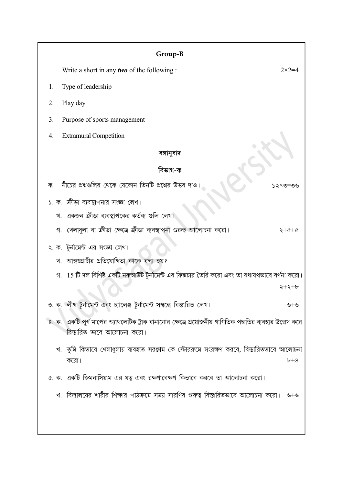| Group-B                                                                                                                               |                  |  |
|---------------------------------------------------------------------------------------------------------------------------------------|------------------|--|
| Write a short in any <b>two</b> of the following :                                                                                    | $2 \times 2 = 4$ |  |
| Type of leadership<br>1.                                                                                                              |                  |  |
| Play day<br>2.                                                                                                                        |                  |  |
| 3.<br>Purpose of sports management                                                                                                    |                  |  |
| <b>Extramural Competition</b><br>4.                                                                                                   |                  |  |
| বঙ্গানুবাদ                                                                                                                            |                  |  |
| বিভাগ-ক                                                                                                                               |                  |  |
| নীচের প্রশ্নগুলির থেকে যেকোন তিনটি প্রশ্নের উত্তর দাও।<br>ক.                                                                          | ১২×৩≕৩৬          |  |
| ১. ক. ক্রীড়া ব্যবস্থাপনার সংজ্ঞা লেখ।                                                                                                |                  |  |
| খ. একজন ক্রীড়া ব্যবস্থাপকের কর্তব্য গুলি লেখ।                                                                                        |                  |  |
| গ. খেলাধুলা বা ক্রীড়া ক্ষেত্রে ক্রীড়া ব্যবস্থাপনা গুরুত্ব আলোচনা করো।                                                               | $2 + 6 + 6$      |  |
| ২. ক. টুর্নামেন্ট এর সংজ্ঞা লেখ।                                                                                                      |                  |  |
| খ. আন্তঃপ্রাচীর প্রতিযোগিতা কাকে বলা হয়?                                                                                             |                  |  |
| গ. 15 টি দল বিশিষ্ট একটি নকআউট টুর্নামেন্ট এর ফিক্সচার তৈরি করো এবং তা যথাযথভাবে বর্ণনা করো।                                          |                  |  |
|                                                                                                                                       | ২+২+৮            |  |
| ৩. ক.  লীগ টুর্নামেন্ট এবং চ্যালেঞ্জ টুর্নামেন্ট সম্বন্ধে বিস্তারিত লেখ।                                                              | ৬+৬              |  |
| ৪. ক. একটি পূর্ণ মাপের অ্যাথলেটিক ট্রাক বানানোর ক্ষেত্রে প্রয়োজনীয় গাণিতিক পদ্ধতির ব্যবহার উল্লেখ করে<br>বিস্তারিত ভাবে আলোচনা করো। |                  |  |
| খ. তুমি কিভাবে খেলাধুলায় ব্যবহৃত সরঞ্জাম কে স্টোররুমে সংরক্ষণ করবে, বিস্তারিতভাবে আলোচনা                                             |                  |  |
| করো।                                                                                                                                  | $b + 8$          |  |
| ৫. ক.  একটি জিমনাসিয়াম এর যত্ন এবং রক্ষণাবেক্ষণ কিভাবে করবে তা আলোচনা করো।                                                           |                  |  |
| খ. বিদ্যালয়ের শারীর শিক্ষার পাঠক্রমে সময় সারণির গুরুত্ব বিস্তারিতভাবে আলোচনা করো।  ৬+৬                                              |                  |  |
|                                                                                                                                       |                  |  |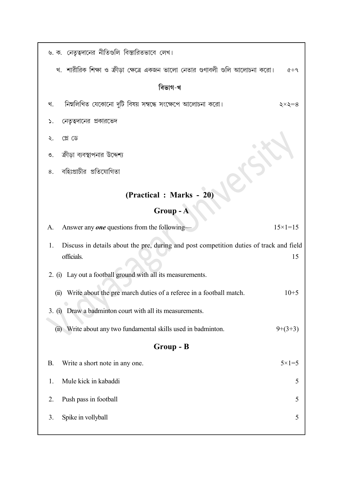| ৬. ক.  নেতৃত্বদানের নীতিগুলি বিস্তারিতভাবে লেখ।                                                                   |  |  |  |
|-------------------------------------------------------------------------------------------------------------------|--|--|--|
| খ. শারীরিক শিক্ষা ও ক্রীড়া ক্ষেত্রে একজন ভালো নেতার গুণাবলী গুলি আলোচনা করো।<br>$6 + 9$                          |  |  |  |
| বিভাগ-খ                                                                                                           |  |  |  |
| নিম্নলিখিত যেকোনো দুটি বিষয় সম্বন্ধে সংক্ষেপে আলোচনা করো।<br>খ.<br>২×২=৪                                         |  |  |  |
| নেতৃত্বদানের প্রকারভেদ<br>۵.                                                                                      |  |  |  |
| প্লে ডে<br>২.                                                                                                     |  |  |  |
| ক্রীড়া ব্যবস্থাপনার উদ্দেশ্য<br>৩.                                                                               |  |  |  |
| বহিঃপ্রাচীর প্রতিযোগিতা<br>8.                                                                                     |  |  |  |
| (Practical: Marks - 20)                                                                                           |  |  |  |
| $Group - A$                                                                                                       |  |  |  |
| Answer any <b>one</b> questions from the following-<br>$15 \times 1 = 15$<br>А.                                   |  |  |  |
| Discuss in details about the pre, during and post competition duties of track and field<br>1.<br>officials.<br>15 |  |  |  |
| 2. (i) Lay out a football ground with all its measurements.                                                       |  |  |  |
| Write about the pre march duties of a referee in a football match.<br>$10+5$<br>(ii)                              |  |  |  |
| Draw a badminton court with all its measurements.<br>3. (i)                                                       |  |  |  |
|                                                                                                                   |  |  |  |
| Write about any two fundamental skills used in badminton.<br>$9+(3+3)$<br>$\overline{u}$                          |  |  |  |
| Group - B                                                                                                         |  |  |  |
| $5 \times 1 = 5$<br>Write a short note in any one.<br><b>B.</b>                                                   |  |  |  |
| Mule kick in kabaddi<br>5<br>1.                                                                                   |  |  |  |
| Push pass in football<br>5<br>2.                                                                                  |  |  |  |